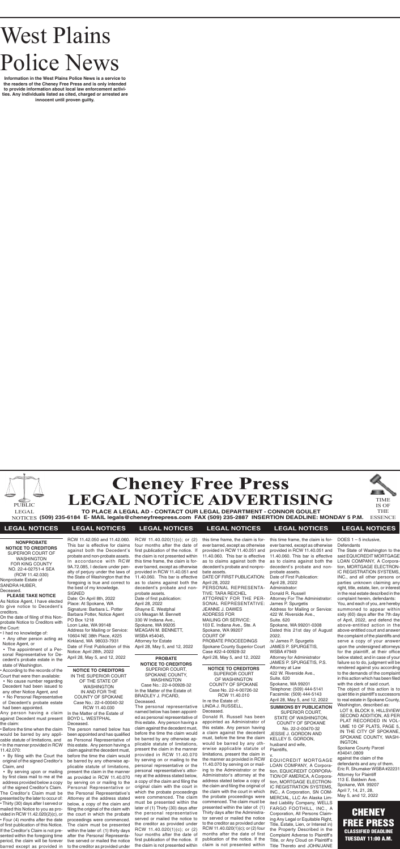# West Plains Police News

**Information in the West Plains Police News is a service to the readers of the Cheney Free Press and is only intended to provide information about local law enforcement activities. Any individuals listed as cited, charged or arrested are innocent until proven guilty.**





**TO PLACE A LEGAL AD - CONTACT OUR LEGAL DEPARTMENT - CONNOR GOULET (509) 235-6184 E- MAIL legals@cheneyfreepress.com FAX (509) 235-2887 INSERTION DEADLINE: MONDAY 5 P.M.** NOTICES ESSENCE

TIME IS OF THE



## **LEGAL NOTICES LEGAL NOTICES LEGAL NOTICES LEGAL NOTICES LEGAL NOTICES LEGAL NOTICES**

**NONPROBATE NOTICE TO CREDITORS** SUPERIOR COURT OF WASHINGTON FOR KING COUNTY NO. 22-4-02751-4 SEA (RCW 11.42.030) Nonprobate Estate of SANDRA HUBER, Deceased.

## **PLEASE TAKE NOTICE**

As Notice Agent, I have elected to give notice to Decedent's creditors.

On the date of filing of this Nonprobate Notice to Creditors with the Court:

- I had no knowledge of:
- Any other person acting as Notice Agent, or
- The appointment of a Personal Representative for Decedent's probate estate in the state of Washington.
- According to the records of the Court that were then available:
- No cause number regarding Decedent had been issued to any other Notice Agent, and
- No Personal Representative of Decedent's probate estate had been appointed.

Any person having a claim In the Matter of the Estate of against Decedent must present the claim:

• Before the time when the claim would be barred by any applicable statute of limitations, and • In the manner provided in RCW 11.42.070:

• By filing with the Court the original of the signed Creditor's Claim, and

• By serving upon or mailing by first class mail to me at the address provided below a copy of the signed Creditor's Claim. The Creditor's Claim must be presented by the later to occur of: • Thirty (30) days after I served or mailed this Notice to you as provided in RCW 11.42.020(2)(c), or • Four (4) months after the date of first publication of this Notice. If the Creditor's Claim is not presented within the foregoing time period, the claim will be forever

**NOTICE TO CREDITORS** IN THE SUPERIOR COURT OF THE STATE OF WASHINGTON IN AND FOR THE COUNTY OF SPOKANE Case No.: 22-4-00040-32 RCW 11.40.030 BOYD L. WESTPHAL Deceased.

barred except as provided in to the creditor as provided under The person named below has been appointed and has qualified as Personal Representative of this estate. Any person having a claim against the decedent must, before the time the claim would be barred by any otherwise applicable statute of limitations, present the claim in the manner as provided in RCW 11.40.070 by serving on or mailing to the Personal Representative or the Personal Representative's Attorney at the address stated below, a copy of the claim and filing the original of the claim with the court in which the probate proceedings were commenced. The claim must be presented within the later of: (1) thirty days after the Personal Representative served or mailed the notice

**PROBATE NOTICE TO CREDITORS** SUPERIOR COURT, SPOKANE COUNTY, WASHINGTON Case No.: 22-4-00928-32 In the Matter of the Estate of: BRADLEY J. PICARD, Deceased.

The personal representative named below has been appointed as personal representative of this estate. Any person having a claim against the decedent must, before the time the claim would be barred by any otherwise applicable statute of limitations, present the claim in the manner provided in RCW 11.40.070 by serving on or mailing to the personal representative or the personal representative's attorney at the address stated below, a copy of the claim and filing the original claim with the court in which the probate proceedings were commenced. The claim must be presented within the later of (1) Thirty (30) days after the personal representative served or mailed the notice to the creditor as provided under RCW 11.40.020(1)(c); or (2) four months after the date of first publication of the notice. If the claim is not presented within

RCW 11.42.050 and 11.42.060. This bar is effective for claims against both the Decedent's probate and non-probate assets. In accordance with RCW 9A.72.085, I declare under penalty of perjury under the laws of the State of Washington that the foregoing is true and correct to the best of my knowledge. SIGNED Date: On April 8th, 2022 Place: At Spokane, WA

Signature: Barbara L. Potter Barbara Potter, Notice Agent PO Box 1218 Loon Lake, WA 99148 Address for Mailing or Service: 10604 NE 38th Place, #225 Kirkland, WA 98033-7931 Date of First Publication of this Notice: April 28th, 2022 April 28, May 5, and 12, 2022

> **CHENEY** FREE PRESS CLASSIFIED DEADLINE TUESDAY 11:00 A.M.

RCW 11.40.020(1)(c); or (2) four months after the date of first publication of the notice. If the claim is not presented within this time frame, the claim is forever barred, except as otherwise provided in RCW 11.40.051 and 11.40.060. This bar is effective as to claims against both the decedent's probate and nonprobate assets. Date of first publication: April 28, 2022 Shayne E. Westphal c/o Meagan M. Bennett 330 W Indiana Ave., Spokane, WA 99205 MEAGAN M. BENNETT, WSBA #54045, Attorney for Estate April 28, May 5, and 12, 2022

this time frame, the claim is forever barred, except as otherwise provided in RCW 11.40.051 and 11.40.060. This bar is effective as to claims against both the decedent's probate and nonprobate assets.

DATE OF FIRST PUBLICATION: April 28, 2022 PERSONAL REPRESENTA-TIVE: TARA REICHEL ATTORNEY FOR THE PER-SONAL REPRESENTATIVE: JEANNE J. DAWES ADDRESS FOR MAILING OR SERVICE: 103 E. Indiana Ave., Ste. A Spokane, WA 99207 COURT OF PROBATE PROCEEDINGS Spokane County Superior Court Case #22-4-00928-32 April 28, May 5, and 12, 2022

**NOTICE TO CREDITORS** SUPERIOR COURT OF WASHINGTON COUNTY OF SPOKANE Case No. 22-4-00726-32 RCW 11.40.010 In re the Estate of: LINDA J. RUSSELL, Deceased.

Donald R. Russell has been appointed as Administrator of this estate. Any person having a claim against the decedent must, before the time the claim would be barred by any otherwise applicable statute of limitations, present the claim in the manner as provided in RCW 11.40.070 by serving on or mailing to the Administrator or the Administrator's attorney at the address stated below a copy of the claim and filing the original of the claim with the court in which the probate proceedings were commenced. The claim must be presented within the later of: (1) Thirty days after the Administrator served or mailed the notice to the creditor as provided under RCW 11.40.020(1)(c); or (2) four months after the date of first publication of the notice. If the claim is not presented within

this time frame, the claim is forever barred, except as otherwise provided in RCW 11.40.051 and 11.40.060. This bar is effective as to claims against both the decedent's probate and nonprobate assets. Date of First Publication: April 28, 2022 Administrator: Donald R. Russell Attorney For The Administrator: James P. Spurgetis Address for Mailing or Service: 422 W. Riverside Ave., Suite. 620 Spokane, WA 99201-0308 Dated this 21st day of August 2022. /s/ James P. Spurgetis JAMES P. SPURGETIS, WSBA #7949 Attorney for Administrator JAMES P. SPURGETIS, P.S. Attorney at Law 422 W. Riverside Ave., Suite. 620 Spokane, WA 99201 Telephone: (509) 444-5141

Facsimile: (509) 444-5143 April 28, May 5, and 12, 2022 **SUMMONS BY PUBLICATION**

SUPERIOR COURT, STATE OF WASHINGTON, COUNTY OF SPOKANE No. 22-2-00470-32 JESSIE J. GORDON AND KELLEY S. GORDON, husband and wife, Plaintiffs,

v. EQUICREDIT MORTGAGE LOAN COMPANY, A Corporation, EQUICREDIT CORPORA-TION OF AMERICA, A Corporation, MORTGAGE ELECTRON-IC REGISTRATION SYSTEMS, INC., A Corporation, SN COM-MERCIAL, LLC An Alaska Limited Liability Company, WELLS FARGO FOOTHILL, INC., A Corporation, All Persons Claiming Any Legal or Equitable Right, Title, Estate, Lien, or Interest in) the Property Described in the Complaint Adverse to Plaintiff's Title, or Any Cloud on Plaintiff's Title Thereto and JOHN/JANE

DOES 1 – 5 inclusive,

**Defendants** 

The State of Washington to the said EQUICREDIT MORTGAGE LOAN COMPANY, A Corporation, MORTGAGE ELECTRON-IC REGISTRATION SYSTEMS, INC., and all other persons or parties unknown claiming any right, title, estate, lien, or interest in the real estate described in the complaint herein, defendants: You, and each of you, are hereby summoned to appear within sixty (60) days after the 7th day of April, 2022, and defend the above-entitled action in the above-entitled court and answer the complaint of the plaintiffs and serve a copy of your answer upon the undersigned attorneys for the plaintiff, at their office below stated; and in case of your failure so to do, judgment will be rendered against you according to the demands of the complaint in this action which has been filed with the clerk of said court. The object of this action is to quiet title in plaintiff's successors to real estate in Spokane County, Washington, described as: LOT 9, BLOCK 9, HILLSVIEW SECOND ADDITION, AS PER PLAT RECORDED IN VOL-UME 10 OF PLATS, PAGE 5, IN THE CITY OF SPOKANE,

SPOKANE COUNTY, WASH-INGTON. Spokane County Parcel #34041.0809 against the claim of the defendants and any of them. Eric R. Shumaker WSBA #22231 Attorney for Plaintiff 113 E. Baldwin Ave. Spokane, WA 99207

April 7, 14, 21, 28, May 5, and 12, 2022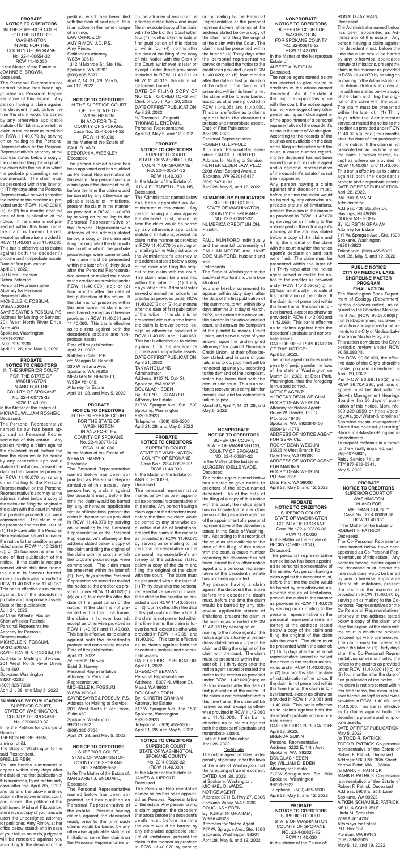**PROBATE NOTICE TO CREDITORS** IN THE SUPERIOR COURT FOR THE STATE OF WASHINGTON IN AND FOR THE COUNTY OF SPOKANE No. 22-4-00654-32 RCW 11.40.030 In the Matter of the Estate of JOANNE B. BROWN, Deceased.

The Personal Representative named below has been appointed as Personal Representative of this estate. Any person having a claim against the decedent must, before the time the claim would be barred by any otherwise applicable statute of limitations, present the claim in the manner as provided in RCW 11.40.070 by serving on or mailing to the Personal Representative or the Personal Representative's attorney at the address stated below a copy of the claim and filing the original of the claim with the court in which the probate proceedings were commenced. The claim must be presented within the later of: (1) Thirty days after the Personal Representative served or mailed the notice to the creditor as provided under RCW 11.40.020(1) (c); or (2) four months after the date of first publication of the notice. If the claim is not presented within this time frame, the claim is forever barred, except as otherwise provided in RCW 11.40.051 and 11.40.060. This bar is effective as to claims against both the decedent's probate and nonprobate assets. Date of first publication:

April 21, 2022 /s/ Debra Peterson Debra Peterson Personal Representative Attorney for Personal Representative: MICHELLE K. FOSSUM, WSBA #20249 SAYRE SAYRE & FOSSUM, P.S. Address for Mailing or Service: 201 West North River Drive, Suite 460 Spokane, Washington 99201-2262 (509) 325-7330

April 21, 28, and May 5, 2022

**PROBATE NOTICE TO CREDITORS** IN THE SUPERIOR COURT FOR THE STATE OF WASHINGTON IN AND FOR THE COUNTY OF SPOKANE No. 22-4-00778-32 RCW 11.40.030 In the Matter of the Estate of NEVA W. HARVEY,

Deceased. The Personal Representative named below has been appointed as Personal Representative of this estate. Any person having a claim against The personal representative the decedent must, before the time the claim would be barred

by any otherwise applicable statute of limitations, present the claim in the manner as provided in RCW 11.40.070 by serving on or mailing to the Personal Representative or the Personal Representative's attorney at the address stated below a copy of the claim and filing the original of the claim with the court in which the probate proceedings were commenced. The claim must be presented within the later of: (1) Thirty days after the Personal Representative served or mailed the notice to the creditor as provided under RCW 11.40.020(1) (c); or (2) four months after the date of first publication of the notice. If the claim is not presented within this time frame, the claim is forever barred, except as otherwise provided in RCW 11.40.051 and 11.40.060. This bar is effective as to claims against both the decedent's probate and nonprobate assets. Date of first publication: April 21, 2022 /s/ Estel B. Harvey Estel B. Harvey Personal Representative Attorney for Personal Representative: MICHELLE K. FOSSUM, WSBA #20249 SAYRE SAYRE & FOSSUM, P.S. Address for Mailing or Service: 201 West North River Drive, Suite 460 Spokane, Washington 99201-2262 (509) 325-7330 April 21, 28, and May 5, 2022

### **PROBATE NOTICE TO CREDITORS** SUPERIOR COURT, STATE OF WASHINGTON, COUNTY OF SPOKANE

NO. 22-4-00824-32 RCW 11.40.030

In the Matter of the Estate of: JUNIA ELIZABETH JENKINS, Deceased.

The Administrator named below has been appointed as Administrator of this estate. Any person having a claim against the decedent must, before the time the claim would be barred by any otherwise applicable statute of limitations, present the claim in the manner as provided in RCW 11.40.070 by serving on or mailing to the Administrator or the Administrator's attorney at the address stated below a copy of the claim and filing the original of the claim with the court. The claim must be presented within the later of: (1) Thirty days after the Administrator served or mailed the notice to the creditor as provided under RCW 11.40.020(3); or (2) four months after the date of first publication of the notice. If the claim is not presented within this time frame, the claim is forever barred, except as otherwise provided in RCW 11.40.051 and 11.40.060. This bar is effective as to claims against both the decedent's probate and nonprobate assets. DATE OF FIRST PUBLICATION: April 21, 2022. TANYA HOLLAND Administrator Address: 6127 N. Oak St. Spokane, WA 99205 DOUGLAS • EDEN By: BRENT T. STANYER Attorney for Estate 717 W. Sprague Ave., Ste. 1500 Spokane, Washington 99201-3923 Telephone: (509) 455-5300 April 21, 28, and May 5, 2022

**NOTICE TO CREDITORS** SUPERIOR COURT, STATE OF WASHINGTON, COUNTY OF SPOKANE NO. 22400896-32 In Re The Matter of the Estate of: MARGARET J. ENGDAHL, Deceased.

The Personal Representative named below has been appointed and has qualified as Personal Representative of the estate. Persons having claims against the deceased must, prior to the time such claims would be barred by any otherwise applicable statute of limitations, serve their claims on the Personal Representative or

### **NONPROBATE NOTICE TO CREDITORS**

SUPERIOR COURT, STATE OF WASHINGTON, COUNTY OF SPOKANE NO. 22-4-00881-32

In the Matter of the Estate of: MARGERY IDELLE WADE, Deceased.

The notice agent named below has elected to give notice to creditors of the above-named decedent. As of the date of the filing of a copy of this notice

with the court, the notice agent has no knowledge of any other person acting as notice agent or of the appointment of a personal representative of the decedent's estate in the State of Washington. According to the records of the court as are available on the date of the filing of this notice with the court, a cause number regarding the decedent has not been issued to any other notice agent and a personal representative of the decedent's estate has not been appointed.

Any person having a claim against the decedent that arose before the decedent's death must, before the time the claim would be barred by any otherwise applicable statute of limitations, present the claim in the manner as provided in RCW

11.42.070 by serving on or mailing to the notice agent or the notice agent's attorney at the address stated below a copy of the claim and filing the original of the claim with the court. The claim must be presented within the later of: (1) thirty days after the notice agent served or mailed the notice to the creditor as provided under RCW 11.42.020(2)(c); or (2) four months after the date of first publication of the notice. If the claim is not presented within this time frame, the claim will be forever barred, except as otherwise provided in RCW 11.42.050 and 11.42.060. This bar is effective as to claims against both the decedent's probate and nonprobate assets. Date of First Publication: April 28, 2022.

### **Certificate**

The notice agent certifies under penalty of perjury under the laws of the State of Washington that the foregoing is true and correct. DATED April 28, 2022, at Spokane, Washington. MICHAEL D. WADE, NOTICE AGENT Address: 3711 S. Hwy 27, G306 Spokane Valley, WA 99206 DOUGLAS • EDEN By: KJIRSTIN GRAHAM, WSBA 40328 Attorneys for Notice Agent 717 W. Sprague Ave., Ste. 1500 Spokane, Washington 99201 April 28, May 5, and 12, 2022

## **PROBATE NOTICE TO CREDITORS** SUPERIOR COURT, STATE OF WASHINGTON

COUNTY OF SPOKANE Case No.: 22-4-00826-32 RCW 11.40.030 In the Matter of the Estate of: BECKY CORIGLIANO, Deceased.

The personal representative named below has been appointed as personal representative of this estate. Any person having a claim against the decedent must, before the time the claim would be barred by any otherwise applicable statute of limitations, present the claim in the manner as provided in RCW 11.40.070 by serving on or mailing to the personal representative or the personal representative's attorney at the address stated below a copy of the claim and filing the original of the claim with the court. The claim must be presented within the later of: (1) Thirty days after the personal representative served or mailed the notice to the creditor as provided under RCW 11.40.020(3); or (2) four months after the date of first publication of the notice. If the claim is not presented within this time frame, the claim is forever barred, except as otherwise provided in RCW 11.40.051 and 11.40.060. This bar is effective as to claims against both the decedent's probate and nonprobate assets. DATE OF FIRST PUBLICATION: April 28, 2022. BRENDA GUINN Personal Representative Address: 3222 E. 14th Ave. Spokane, WA 99202 DOUGLAS • EDEN By: WILLIAM D. EDEN Attorney for Estate 717 W. Sprague Ave., Ste. 1500 Spokane, Washington

99201-3923 Telephone: (509) 455-5300 April 28, May 5, and 12, 2022

**NONPROBATE NOTICE TO CREDITORS** SUPERIOR COURT OF WASHINGTON FOR SPOKANE COUNTY NO. 22400916-32

RCW 11.42.030 In the Matter of the Nonprobate Estate of ALBERT A. WEIGUM,

Deceased.

The notice agent named below has elected to give notice to creditors of the above-named decedent. As of the date of the filing of a copy of this notice with the court, the notice agent has no knowledge of any other person acting as notice agent or of the appointment of a personal representative of the decedent's estate in the state of Washington. According to the records of the court as are available on the date of the filing of this notice with the court, a cause number regarding the decedent has not been issued to any other notice agent and a personal representative of the decedent's estate has not been appointed.

Any person having a claim against the decedent must, before the time the claim would be barred by any otherwise applicable statute of limitations, present the claim in the manner as provided in RCW 11.42.070 by serving on or mailing to the notice agent or the notice agent's attorney at the address stated below a copy of the claim and filing the original of the claim with the court in which the notice agent's declaration and oath were filed. The claim must be presented within the later of: (1) Thirty days after the notice agent served or mailed the notice to the creditor as provided under RCW 11.42.020(2)(c); or (2) four months after the date of first publication of the notice. If the claim is not presented within this time frame, the claim is forever barred, except as otherwise provided in RCW 11.42.050 and 11.42.060. This bar is effective as to claims against both the decedent's probate and nonprobate assets. DATE OF FIRST PUBLICATION OF THIS NOTICE: April 28, 2022.

The notice agent declares under penalty of perjury under the laws of the state of Washington on March 31, 2022, at Deer Park, Washington, that the foregoing is true and correct. NOTICE AGENT: /s/ ROCKY DEAN WEIGUM ROCKY DEAN WEIGUM Attorney for Notice Agent: Bruce W. Hondle, PLLC P.O. Box 18400 Spokane, WA 99228-0400 (509)464-4779 ADDRESS OF NOTICE AGENT FOR SERVICE: ROCKY DEAN WEIGUM 36525 N West Branch Rd Deer Park, WA 99006 ADDRESS OF NOTICE AGENT FOR MAILING: ROCKY DEAN WEIGUM PO Box 2335 Deer Park, WA 99006 April 28, May 5, and 12, 2022

**SUMMONS BY PUBLICATION**

SUPERIOR COURT, STATE OF WASHINGTON, COUNTY OF SPOKANE No. 22200670-32 In re the Petition for Change of Name of: THERON RIDGE REIN, a minor child.

The State of Washington to the said Respondent,

BRIELLE REIN:

You are hereby summoned to appear within sixty days after the date of the first publication of this summons, to wit, within sixty days after the April 7th, 2022, and defend the above entitled action in the above entitled court, and answer the petition of the petitioner, Michael Fitzpatrick, and serve a copy of your answer upon the undersigned attorney for petitioner, Amy Rimov, at her office below stated; and in case of your failure so to do, judgment will be rendered against you according to the demand of the

**PROBATE NOTICE TO CREDITORS** SUPERIOR COURT, STATE OF WASHINGTON COUNTY OF SPOKANE

Case No.: 22-4-00825-32 RCW 11.40.030 In the Matter of the Estate of: ANN D. HOUGH, Deceased.

named below has been appoint-

ed as personal representative of this estate. Any person having a claim against the decedent must, before the time the claim would be barred by any otherwise applicable statute of limitations, present the claim in the manner as provided in RCW 11.40.070 by serving on or mailing to the personal representative or the personal representative's attorney at the address stated below a copy of the claim and filing the original of the claim with the court. The claim must be presented within the later of: (1) Thirty days after the personal representative served or mailed the notice to the creditor as provided under RCW 11.40.020(3); or (2) four months after the date of first publication of the notice. If the claim is not presented within this time frame, the claim is forever barred, except as otherwise provided in RCW 11.40.051 and 11.40.060. This bar is effective as to claims against both the decedent's probate and nonprobate assets.

DATE OF FIRST PUBLICATION: April 21, 2022. GREGORY BEAMAN Personal Representative Address: 15307 N. Wilson Ct. Mead, WA 99021 DOUGLAS • EDEN By: KJIRSTIN GRAHAM Attorney for Estate 717 W. Sprague Ave., Ste. 1500 Spokane, Washington 99201-3923 Telephone: (509) 455-5300 April 21, 28, and May 5, 2022

**PROBATE NOTICE TO CREDITORS** IN THE SUPERIOR COURT FOR THE STATE OF WASHINGTON IN AND FOR THE COUNTY OF SPOKANE No. 22-4-00775-32 RCW 11.40.030 In the Matter of the Estate of MICHAEL WILLIAM ROSHEK,

Deceased. The Personal Representative named below has been appointed as Personal Representative of this estate. Any person having a claim against the decedent must, before the time the claim would be barred by any otherwise applicable statute of limitations, present the claim in the manner as provided in RCW 11.40.070 by serving on or mailing to the Personal Representative or the Personal Representative's attorney at the address stated below a the claim and filing the original of the claim with the court in which the probate proceedings were commenced. The claim must be presented within the later of: (1) Thirty days after the Personal Representative served or mailed the notice to the creditor as provided under RCW 11.40.020(1) (c); or (2) four months after the date of first publication of the notice. If the claim is not presented within this time frame, the claim is forever barred, except as otherwise provided in RCW 11.40.051 and 11.40.060. This bar is effective as to claims against both the decedent's probate and nonprobate assets. Date of first publication: April 21, 2022 /s/ Cheri Wheeler Roshek Cheri Wheeler Roshek Personal Representative Attorney for Personal Representative: MICHELLE K. FOSSUM, WSBA #20249 SAYRE SAYRE & FOSSUM, P.S. Address for Mailing or Service: 201 West North River Drive, Suite 460 Spokane, Washington 99201-2262 (509) 325-7330 April 21, 28, and May 5, 2022

**SUMMONS BY PUBLICATION** SUPERIOR COURT,

STATE OF WASHINGTON, COUNTY OF SPOKANE NO. 22-2-00887-32

NUMERICA CREDIT UNION, Plaintiff, v.

PAUL MUNFORD individually and the marital community of

PAUL MUNFORD and JANE

DOE MUNFORD, husband and wife,

Defendants.

The State of Washington to the said Paul Munford and Jane Doe Munford:

You are hereby summoned to appear within sixty days after the date of the first publication of this summons, to wit, within sixty days after the 31st day of March, 2022, and defend the above entitled action in the above entitled court, and answer the complaint of the plaintiff Numerica Credit Union, and serve a copy of your answer upon the undersigned attorneys' for plaintiff Numerica Credit Union, at their office below stated; and in case of your failure so to do, judgment will be rendered against you according to the demand of the complaint, which has been filed with the clerk of said court. This is an action to recover on a complaint for monies due and for defendants failure to pay.

March 31, April 7, 14, 21, 28, and May 5, 2022

**NOTICE TO CREDITORS** IN THE SUPERIOR COURT OF THE STATE OF WASHINGTON IN AND FOR THE COUNTY OF SPOKANE Case No.: 22-4-00874-32 RCW 11.40.030 In the Matter of the Estate of PAUL D. AND

DEBORAH A. WEEKLEY Deceased. The person named below has

been appointed and has qualified as Personal Representative of this estate. Any person having a claim against the decedent must, before the time the claim would be barred by any otherwise applicable statute of limitations, present the claim in the manner as provided in RCW 11.40.070 by serving on or mailing to the Personal Representative or the Personal Representative's Attorney at the address stated below, a copy of the claim and filing the original of the claim with the court in which the probate proceedings were commenced. The claim must be presented within the later of: (1) thirty days after the Personal Representative served or mailed the notice to the creditor as provided under RCW 11.40.020(1)(c); or (2) four months after the date of first publication of the notice. If the claim is not presented within this time frame, the claim is forever barred, except as otherwise provided in RCW 11.40.051 and 11.40.060. This bar is effective as to claims against both the decedent's probate and nonprobate assets. Date of first publication: April 21, 2022 Kathleen Caler, P.R. c/o Meagan M. Bennett 330 W Indiana Ave., Spokane, WA 99205 MEAGAN M. BENNETT, WSBA #54045, Attorney for Estate April 21, 28, and May 5, 2022

> **PROBATE NOTICE TO CREDITORS** SUPERIOR COURT, STATE OF WASHINGTON COUNTY OF SPOKANE NO. 22-4-00827-32 RCW 11.40.030 In the Matter of the Estate of:

**NOTICE TO CREDITORS** SUPERIOR COURT, STATE OF WASHINGTON, SPOKANE COUNTY No. 22-4-00922-32 (RCW 11.40.030) In the Matter of the Estate of: JAMES A. LIPPOLD, Deceased.

The Personal Representative named below has been appointed as Personal Representative of this estate. Any person having a claim against the decedent that arose before the decedent's death must, before the time the claim would be barred by any otherwise applicable statute of limitations, present the claim in the manner as provided in RCW 11.40.070 by serving

with the clerk of said court. This is an action for the name change of a minor. LAW OFFICE OF AMY RIMOV, J.D. P.S. Amy Rimov, Petitioner's Attorney. WSBA 30613 1312 N Monroe St, Ste 116, Spokane, WA 99201 (509) 835-5377 April 7, 14, 21, 28, May 5, and 12, 2022

petition, which has been filed on the attorney of record at the address stated below and must file an executed copy of the claim with the Clerk of this Court within four (4) months after the date of first publication of this Notice or within four (4) months after the date of the filing of the copy of this Notice with the Clerk of the Court, whichever is later or, except under those provisions included in RCW 11.40.011 or RCW 11.40.013, the claim will be forever barred. DATE OF FILING COPY OF

NOTICE TO CREDITORS with Clerk of Court: April 20, 2022 DATE OF FIRST PUBLICATION: April 28, 2022 /s/ Thomas L. Engdahl THOMAS L. ENGDAHL Personal Representative April 28, May 5, and 12, 2022

on or mailing to the Personal Representative or the personal representative's attorney at the address stated below a copy of the claim and filing the original of the claim with the Court. The claim must be presented within the later of: (a) Thirty days after the personal representative served or mailed the notice to the creditor as provided under RCW 11.40.020; or (b) four months after the date of first publication of the notice. If the claim is not presented within this time frame, the claim will be forever barred, except as otherwise provided in RCW 11.40.051 and 11.40.060. This bar is effective as to claims against both the decedent's probate and nonprobate assets. Date of First Publication: April 28, 2022 Personal Representative: ROBERT G. LIPPOLD Attorney for Personal Representative: CAROL J. HUNTER Address for Mailing or Service: HUNTER ELDER LAW, PLLC

2208 West Second Avenue Spokane, WA 99201-5417 (509) 747-0101 April 28, May 5, and 12, 2022 RONALD JAY MAIN, Deceased.

The Administrator named below has been appointed as Administrator of this estate. Any person having a claim against the decedent must, before the time the claim would be barred by any otherwise applicable statute of limitations, present the claim in the manner as provided in RCW 11.40.070 by serving on or mailing to the Administrator or the Administrator's attorney at the address stated below a copy of the claim and filing the original of the claim with the court. The claim must be presented within the later of: (1) Thirty days after the Administrator served or mailed the notice to the creditor as provided under RCW 11.40.020(3); or (2) four months after the date of first publication of the notice. If the claim is not presented within this time frame, the claim is forever barred, except as otherwise provided in RCW 11.40.051 and 11.40.060. This bar is effective as to claims against both the decedent's probate and nonprobate assets. DATE OF FIRST PUBLICATION:

April 28, 2022. BARBARA MAIN Administrator Address: 436 Stauffer Dr. Hastings, MI 49058 DOUGLAS • EDEN By: KJIRSTIN GRAHAM Attorney for Estate 717 W. Sprague Ave., Ste. 1500 Snokane, Washington 99201-3923 Telephone: (509) 455-5300 April 28, May 5, and 12, 2022

## **PUBLIC NOTICE CITY OF MEDICAL LAKE SHORELINE MASTER PROGRAM FINAL ACTION**

The Washington State Department of Ecology (Department) hereby provides notice, as required by the Shoreline Management Act (RCW 90.58.090(8)), that the Department has taken final action and approved amendments to the City of Medical Lake Shoreline Master Program.

This action completes the City's periodic review under RCW 90.58.080(4).

Per RCW 90.58.090, the effective date of the City's shoreline master program amendment is April, 29, 2022.

Per RCW 90.58.190(2) and RCW 36.70A.290, petitions of appeal must be filed with the Growth Management Hearings Board within 60 days of publication of this notice. More info: 509-329-3550 or https://ecology.wa.gov/Water-Shorelines/ Shoreline-coastal-management/ Shoreline-coastal-planning/ Shoreline-Master-Programsamendments.

To request materials in a format for the visually impaired, call 360-407-6831, Relay Service 711, or TTY 877-833-6341. May 5, 2022

**PROBATE NOTICE TO CREDITORS** SUPERIOR COURT OF WASHIN IN AND FOR WHITMAN COUNTY Case No.: 22 4 00069 38 RCW 11.40.030 In the Matter of the Estate of: ROBERT F. PATRICK, Deceased. The Co-Personal Representatives named below have been appointed as Co-Personal Representatives of this estate. Any persons having claims against the deceased must, before the time such claim would be barred by any otherwise applicable statute of limitations, present the claim in the manner as provided in RCW 11.40.070 by serving on or mailing to the Copersonal Representatives or the Co-Personal Representatives' attorney at the address stated below a copy of the claim and filing the original of the claim with the court in which the probate proceedings were commenced. The claim must be presented within the later of: (1) Thirty days after the Co-Personal Representatives served or mailed the notice to the creditor as provided under RCW 11.40.020 (1)(c); or (2) four months after the date of first publication of the notice. If the claim is not presented within this time frame, the claim is forever barred, except as otherwise provided in RCW 11.40.051 and 11.40.060. This bar is effective as to claims against both the decedent's probate and nonprobate assets. DATE OF FIRST PUBLICATION: May 5, 2022 /s/ TODD R. PATRICK TODD R. PATRICK, Co-personal representative of the Estate of Robert F. Patrick, Deceased Address: 9029 NE 36th Street Yarrow Point, WA 98004 /s/ MARK H. PATRICK MARK H. PATRICK, Co-personal representative of the Estate of Robert F. Patrick, Deceased Address: 5906 E. 25th Lane Spokane, WA 99223 AITKEN, SCHAUBLE, PATRICK, NEILL & SCHAUBLE Linda M. Schauble, WSBA #014707 Attorneys for Estate P.O. Box 307 Pullman, WA 99163 (509) 334-3505 May 5, 12, and 19, 2022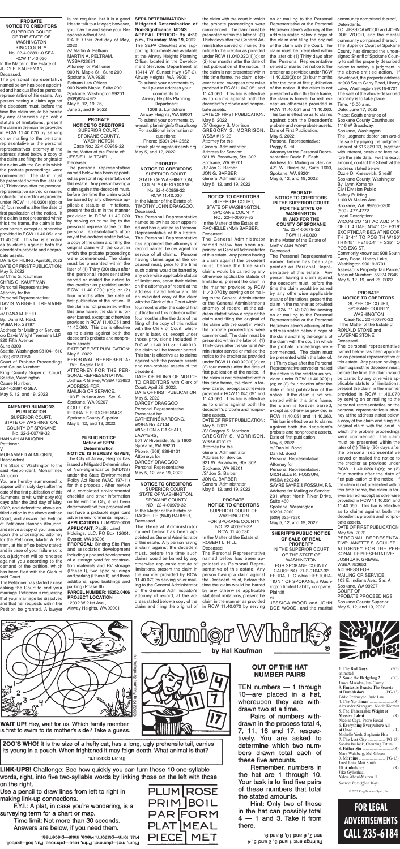## **FOR LEGAL ADVERTISEMENTS CALL 235-6184**

## **PUBLIC NOTICE Notice of SEPA Determination**

**NOTICE IS HEREBY GIVEN**; The City of Airway Heights has issued a Mitigated Determination of Non-Significance (M\DNS) under the State Environmental Policy Act Rules (WAC 197-11) for this proposal. After review of a completed environmental checklist and other information

on file with the City, it has been determined that this proposal will not have a probable significant adverse environmental impact. **APPLICATION #**: LUA2022-0006 **APPLICANT**: Pacific Land Holdings, LLC, PO Box 12604, Everett, WA 98206

**PROPOSAL**: Binding Site Plan and associated development including a phased development of a storage yard for construction materials and RV storage (Phase I), two spec buildings and parking (Phase II), and three additional spec buildings and parking (Phase III)

### **PARCEL NUMBER**: **15252.0406 PROJECT LOCATION**:

12032 W 21st Ave., Airway Heights, WA 99001

**PROBATE NOTICE TO CREDITORS** SUPERIOR COURT, STATE OF WASHINGTON, COUNTY OF SPOKANE No. 22-4-00959-32 RCW 11.40.030 In the Matter of the Estate of:

TIMOTHY JOHN DRAGGOO, Deceased. The Personal Representative

named below has been appointed and has qualified as Personal Representative of this Estate. The Personal Representative has appointed the attorneys of record named below agent for service of all claims. Persons having claims against the deceased must, prior to the time such claims would be barred by any otherwise applicable statute of limitations, serve their claims on the attorneys of record at the address stated below and file an executed copy of the claim with the Clerk of this Court within four months after the date of first publication of this notice or within four months after the date of the filing of the copy of this notice with the Clerk of Court, whichever is later, or, except under those provisions included in R.C.W. 11.40.011 or 11.40.013, the claim will be forever barred. This bar is effective as to claims against both the probate assets and non-probate assets of the decedent.

DATE OF FILING OF NOTICE TO CREDITORS with Clerk of Court: April 28, 2022. DATE OF FIRST PUBLICATION: May 5, 2022 DARCEY DRAGGOO Personal Representative Presented by: CATHERINE KARDONG, WSBA No. 47144 WINSTON & CASHATT, LAWYERS, 601 W Riverside, Suite 1900 Spokane, WA 99201 Phone: (509) 838-6131 Attorneys for DARCEY DRAGGOO Personal Representative May 5, 12, and 19, 2022

**NOTICE TO CREDITORS** SUPERIOR COURT, STATE OF WASHINGTON, SPOKANE COUNTY NO. 22-4-00979-32 In the Matter of the Estate of:

RACHELLE (NMI) BARBER, Deceased. The General Administrator named below has been appointed as General Administrator of this estate. Any person having a claim against the decedent must, before the time such claims would be barred by any otherwise applicable statute of limitations, present the claim in the manner provided by RCW 11.40.070 by serving on or mailing to the General Administrator or the General Administrator's attorney of record, at the address stated below a copy of the claim and filing the original of the claim with the court in which the probate proceedings were commenced. The claim must be presented within the later of: (1) Thirty days after the General Administrator served or mailed the notice to the creditor as provided under RCW 11.040.020(1)(c); or (2) four months after the date of first publication of the notice. If the claim is not presented within this time frame, the claim is forever barred, except as otherwise provided in RCW 11.040.051 and 11.40.060. This bar is effective as to claims against both the decedent's probate and nonprobate assets. DATE OF FIRST PUBLICATION: May 5, 2022 /S/ Gregory S. Morrison

GREGORY S. MORRISON, WSBA #15123 Attorney for the General Administrator Address for Service: 921 W. Broadway, Ste. 302 Spokane, WA 99201 /S/ Jon G. Barber JON G. BARBER General Administrator May 5, 12, and 19, 2022

**NOTICE TO CREDITORS** SUPERIOR COURT, STATE OF WASHINGTON,

SPOKANE COUNTY NO. 22-4-00979-32

In the Matter of the Estate of: RACHELLE (NMI) BARBER, Deceased.

> FERDA, LLC d/b/a RESTORA-TION 1 OF SPOKANE, a Washington limited liability company, **Plaintiff**

The General Administrator named below has been appointed as General Administrator of this estate. Any person having a claim against the decedent must, before the time such claims would be barred by any otherwise applicable statute of limitations, present the claim in the manner provided by RCW 11.40.070 by serving on or mailing to the General Administrator or the General Administrator's attorney of record, at the address stated below a copy of the claim and filing the original of

**PROBATE NOTICE TO CREDITORS** SUPERIOR COURT OF **WASHINGTON** FOR SPOKANE COUNTY NO. 22 400927-32 RCW 11.40.030 In the Matter of the Estate of:

### ROBERT L. HILL, Deceased.

The Personal Representative named below has been appointed as Personal Representative of this estate. Any person having a claim against the Decedent must, before the time the claim would be barred by any otherwise applicable statute of limitations, present the claim in the manner as provided in RCW 11.40.070 by serving

uniør Whirl

by Hal Kaufman

**PROBATE NOTICE TO CREDITORS IN THE SUPERIOR COURT FOR THE STATE OF WASHINGTON IN AND FOR THE COUNTY OF SPOKANE** No. 22-4-00679-32 RCW 11.40.030 In the Matter of the Estate of MARY ANN BOND,

Deceased. The Personal Representative named below has been appointed as Personal Representative of this estate. Any person having a claim against the decedent must, before the time the claim would be barred by any otherwise applicable statute of limitations, present the claim in the manner as provided in RCW 11.40.070 by serving on or mailing to the Personal Representative or the Personal Representative's attorney at the address stated below a copy of the claim and filing the original of the claim with the court in which the probate proceedings were commenced. The claim must be presented within the later of: (1) Thirty days after the Personal Representative served or mailed the notice to the creditor as provided under RCW 11.40.020(1) (c); or (2) four months after the date of first publication of the notice. If the claim is not presented within this time frame, the claim is forever barred, except as otherwise provided in RCW 11.40.051 and 11.40.060. This bar is effective as to claims against both the decedent's probate and nonprobate assets. Date of first publication: May 5, 2022 /s/ Dan M. Bond Dan M. Bond Personal Representative Attorney for Personal Representative: MICHELLE K. FOSSUM, WSBA #20249 SAYRE SAYRE & FOSSUM, P.S. Address for Mailing or Service: 201 West North River Drive,

**Defendants** 

Suite 460 Spokane, Washington 99201-2262 (509) 325-7330 May 5, 12, and 19, 2022

**PROBATE NOTICE TO CREDITORS** SUPERIOR COURT, SPOKANE COUNTY, WASHINGTON Case No.: 22-4-00969-32 In the Matter of the Estate of: JESSIE L. MITCHELL,

Deceased. The personal representative named below has been appointed as personal representative of this estate. Any person having a claim against the decedent must, before the time the claim would be barred by any otherwise applicable statute of limitations, present the claim in the manner provided in RCW 11.40.070 by serving on or mailing to the personal representative or the personal representative's attorney at the address stated below, a copy of the claim and filing the original claim with the court in which the probate proceedings were commenced. The claim must be presented within the later of (1) Thirty (30) days after the personal representative served or mailed the notice to the creditor as provided under RCW 11.40.020(1)(c); or (2) four months after the date of first publication of the notice. If the claim is not presented within this time frame, the claim is forever barred, except as otherwise provided in RCW 11.40.051 and 11.40.060. This bar is effective as to claims against both the decedent's probate and nonprobate assets. DATE OF FIRST PUBLICATION: May 5, 2022 PERSONAL REPRESENTA-TIVE: Angela Roll ATTORNEY FOR THE PER-SONAL REPRESENTATIVE: Joshua P. Grewe, WSBA #53653 ADDRESS FOR MAILING OR SERVICE: 103 E. Indiana Ave., Ste. A Spokane, WA 99207 COURT OF PROBATE PROCEEDINGS Spokane County Superior May 5, 12, and 19, 2022

> **SHERIFF'S PUBLIC NOTICE OF SALE OF REAL PROPERTY** IN THE SUPERIOR COURT OF THE STATE OF WASHINGTON FOR SPOKANE COUNTY CAUSE NO. 21-2-01047-32

vs JESSICA WOOD and JOHN DOE WOOD, and the marital



**WAIT UP!** Hey, wait for us. Which family member is first to swim to its mother's side? Take a guess.

ZOO'S WHO! It is the size of a hefty cat, has a long, ugly prehensile tail, carries its young in a pouch. When frightened it may feign death. What animal is that? runssodo ue s.µ

LINK-UPS! Challenge: See how quickly you can turn these 10 one-syllable words, right, into five two-syllable words by linking those on the left with those on the right.

Use a pencil to draw lines from left to right in making link-up connections.

F.Y.I.: A plat, in case you're wondering, is a surveying term for a chart or map.

Time limit: Not more than 30 seconds. Answers are below, if you need them.

Plat, form-platform. Piece, meal-piecemeal. Plum, met-plummet. Prim, rose-primrose. Par, boil-parboil.



## **OUT OF THE HAT NUMBER PAIRS**

TEN numbers  $-1$  through 10-are placed in a hat, whereupon they are withdrawn two at a time.

Pairs of numbers withdrawn in the process total 4, 7, 11, 16 and 17, respectively. You are asked to determine which two numbers drawn total each of these five amounts.

Remember, numbers in the hat are 1 through 10. Your task is to find five pairs of these numbers that total the stated amounts.

Hint: Only two of those in the hat can possibly total  $4 - 1$  and 3. Take it from there.

> .6 bns 8 ,01 bns 8 ,7 bns Pairings are: 1 and 3, 2 and 5, 4



**PROBATE NOTICE TO CREDITORS** SUPERIOR COURT, SPOKANE COUNTY, WASHINGTON Case No.: 22-400970-32 In the Matter of the Estate of: RONALD STONE and LAVERNE STONE, Deceased.

The personal representative named below has been appointed as personal representative of this estate. Any person having a claim against the decedent must, before the time the claim would be barred by any otherwise applicable statute of limitations, present the claim in the manner provided in RCW 11.40.070 by serving on or mailing to the personal representative or the personal representative's attorney at the address stated below, a copy of the claim and filing the original claim with the court in which the probate proceedings were commenced. The claim must be presented within the later of (1) Thirty (30) days after the personal representative served or mailed the notice to the creditor as provided under RCW 11.40.020(1)(c); or (2) four months after the date of first publication of the notice. If the claim is not presented within this time frame, the claim is forever barred, except as otherwise provided in RCW 11.40.051 and 11.40.060. This bar is effective as to claims against both the decedent's probate and nonprobate assets. DATE OF FIRST PUBLICATION: May 5th, 2022 PERSONAL REPRESENTA-TIVE: JANETTE S. SOULIER ATTORNEY FOR THE PER-SONAL REPRESENTATIVE: JOSHUA P. GREWE, WSBA #53653 ADDRESS FOR MAILING OR SERVICE: 103 E. Indiana Ave., Ste. A Spokane, WA 99207 COURT OF PROBATE PROCEEDINGS: Spokane County Superior May 5, 12, and 19, 2022

**AMENDED SUMMONS PUBLICATION** SUPERIOR COURT, STATE OF WASHINGTON, COUNTY OF SPOKANE No. 22-3-00749-32 HANNAH ALMUQRIN, Petitioner,

V. MOHAMMED ALMUQRIN, Respondent.

The State of Washington to the said Respondent, Mohammed Alrnuqrin:

You are hereby summoned to appear within sixty days after the date of the first publication of this Summons, to wit, within sixty (60)

days after the 2nd day of May, 2022, and defend the above entitled action in the above entitled Court, and answer the Petition of Petitioner Hannah Almuqrin, and serve a copy of your answer upon the undersigned attorney for the Petitioner, Martin A. Pel tram, at his office below stated; and in case of your failure so to do, a judgment will be rendered against you according to the demand of the petition, which has been filed with the Clerk of said Court.

The Petitioner has started a case asking the Court to end your marriage. Petitioner is requesting that your marriage be dissolved and that her requests within her Petition be granted. A lawyer

**PROBATE NOTICE TO CREDITORS** SUPERIOR COURT OF THE STATE OF WASHINGTON KING COUNTY No. 22-4-02891-0 SEA RCW 11.40.030 In the Matter of the Estate of JUDY E. KAUFFMAN, Deceased.

The personal representative named below has been appointed and has qualified as personal representative of this estate. Any person having a claim against the decedent must, before the time the claim would be barred by any otherwise applicable statute of limitations, present the claim in the manner provided in RCW 11.40.070 by serving on or mailing to the personal representative or the personal representatives' attorney at the address stated below a copy of the claim and filing the original of the claim with the Court in which the probate proceedings were commenced. The claim must be presented within the later of: (1) Thirty days after the personal representative served or mailed notice to the creditor as provided under RCW 11.40.020(1)(c); or (2) four months after the date of first publication of the notice. If the claim is not presented within this time frame, the claim is forever barred, except as otherwise provided in RCW 11.40.051 and 11.40.060. This bar is effective as to claims against both the decedent's probate and nonprobate assets.

DATE OF FILING: April 26, 2022 DATE OF FIRST PUBLICATION: May 5, 2022

/s/ Chris G. Kauffman CHRIS G. KAUFFMAN

Personal Representative Attorney for the

Personal Representative: DAVIS WRIGHT TREMAINE LLP

/s/ DANA M. REID

By: Dana M. Reid,

WSBA No. 23197

Address for Mailing or Service: c/o Davis Wright Tremaine LLP

920 Fifth Avenue Suite 3300

Seattle, Washington 98104-1610 (206) 622-3150

Court of Probate Proceedings

and Cause Number: King County Superior Court,

Seattle, Washington

Cause Number: 22-4-02891-0 SEA

May 5, 12, and 19, 2022

idea to talk to a lawyer; however, you may file and serve your Response without one. DATED this 2nd day of May, 2022. /s/ Martin A. Peltram MARTIN A. PELTRAM, WSBA#23681 Attorney for Petitioner 900 N. Maple St., Suite 200 Spokane, WA 99201 Peltram Law Offices 900 North Maple, Suite 200 Spokane, Washington 99201 (509)624-4922 May 5, 12, 19, 26, June 2, and 9, 2022

is not required, but it is a good **SEPA DETERMINATION: Mitigated Determination of Non-Significance, MDNS APPEAL PERIOD: By 4:30 p.m., Thursday, May 19, 2022** The SEPA Checklist and supporting documents are available at the Airway Heights Planning Office, located in the Development Services Department at 13414 W. Sunset Hwy (SR-2), Airway Heights, WA, 99001. To submit your comments by mail please address your comments to: Airway Heights Planning Department 1208 S. Lundstrom Airway Heights, WA 99001 To submit your comments by e-mail: planninginfo@cawh.org For additional information or questions: Phone: (509) 244-2552 Email: planninginfo@cawh.org May 5, and 12, 2022

the claim with the court in which the probate proceedings were commenced. The claim must be presented within the later of: (1) Thirty days after the General Administrator served or mailed the notice to the creditor as provided under RCW 11.040.020(1)(c); or (2) four months after the date of first publication of the notice. If the claim is not presented within this time frame, the claim is forever barred, except as otherwise provided in RCW 11.040.051 and 11.40.060. This bar is effective as to claims against both the decedent's probate and nonprobate assets. DATE OF FIRST PUBLICATION: May 5, 2022

/S/ Gregory S. Morrison GREGORY S. MORRISON, WSBA #15123 Attorney for the General Administrator Address for Service: 921 W. Broadway, Ste. 302 Spokane, WA 99201 /S/ Jon G. Barber JON G. BARBER General Administrator May 5, 12, and 19, 2022

on or mailing to the Personal community comprised thereof, Representative or the Personal Representative's attorney at the address stated below a copy of the claim and filing the original of the claim with the Court. The claim must be presented within the later of: (1) Thirty days after the Personal Representative served or mailed the notice to the creditor as provided under RCW 11.40.020(3); or (2) four months after the date of first publication of the notice. If the claim is not presented within this time frame, the claim is forever barred, except as otherwise provided in RCW 11.40.051 and 11.40.060. This bar is effective as to claims against both the Decedent's probate and non-probate assets. Date of First Publication: May 5, 2022 Personal Representative: Peggy A. Hill Attorney for the Personal Representative: David E. Eash Address for Mailing or Service: 421 W. Riverside, Suite 1600, Spokane, WA 99201 May 5, 12, and 19, 2022

TO: JESSICA WOOD and JOHN DOE WOOD, and the marital community comprised thereof; The Superior Court of Spokane County has directed the undersigned Sheriff of Spokane County to sell the property described below to satisfy a judgment in the above-entitled action. If developed, the property address is: 908 South Garry Road, Liberty Lake, Washington 99019-9701 The sale of the above-described property is to take place: Time: 10:00 a.m. Date: June 17, 2022 Place: South entrance of Spokane County Courthouse 1116 W Broadway, Spokane, Washington The judgment debtor can avoid the sale by paying the judgment amount of \$16,839.13, together with interest, costs and fees before the sale date. For the exact amount, contact the Sheriff at the address stated below. Ozzie D. Knezovich, Sheriff Spokane County, Washington By: Lynn Komarek Civil Division Public Safety Building 1100 W Mallon Ave Spokane, WA 99260-0300 (509) 477-4772 Legal Description: WICOMICO 1ST AC ADD PTN OF LT 4 DAF; N141' OF E319' EXC PTNDAF; BEG AT NE COR TH S141' TO POB TH W150' TH N45' THE150.4' TH S35' TO POB EXC ST. Commonly known as: 908 South Garry Road, Liberty Lake, Washington 99019-9701 Assessor's Property Tax Parcel/ Account Number: 55224.2646 May 5, 12, 19, and 26, 2022

| animated                           |
|------------------------------------|
| 2. Sonic the Hedgehog 2 (PG)       |
| James Marsden, Jim Carrey          |
| 3. Fantastic Beasts: The Secrets   |
|                                    |
| Eddie Redmayne, Jude Law           |
|                                    |
| Alexander Skarsgard, Nicole Kidman |
| 5. The Unbearable Weight of        |
|                                    |
| Nicolas Cage, Pedro Pascal         |
| 6. Everything Everywhere All       |
|                                    |
| Michelle Yeoh, Stephanie Hsu       |
|                                    |
| Sandra Bullock, Channing Tatum     |
|                                    |
| Mark Wahlberg, Mel Gibson          |
| 9. <b>Morbius</b> (PG-13)          |
| Jared Leto, Matt Smith             |
|                                    |
| Jake Gyllenhaal,                   |
| Yahya Abdul-Mateen II              |
| Source: Box Office Mojo            |
|                                    |

© 2022 King Features Synd., Inc.